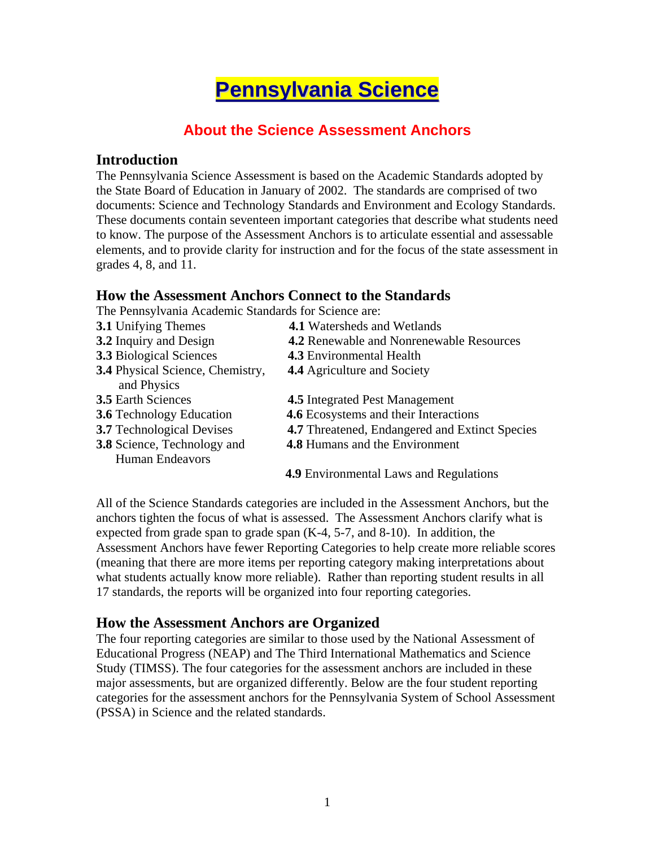# **Pennsylvania Science**

# **About the Science Assessment Anchors**

## **Introduction**

The Pennsylvania Science Assessment is based on the Academic Standards adopted by the State Board of Education in January of 2002. The standards are comprised of two documents: Science and Technology Standards and Environment and Ecology Standards. These documents contain seventeen important categories that describe what students need to know. The purpose of the Assessment Anchors is to articulate essential and assessable elements, and to provide clarity for instruction and for the focus of the state assessment in grades 4, 8, and 11.

## **How the Assessment Anchors Connect to the Standards**

The Pennsylvania Academic Standards for Science are:

| <b>3.1 Unifying Themes</b>              | <b>4.1</b> Watersheds and Wetlands              |
|-----------------------------------------|-------------------------------------------------|
| 3.2 Inquiry and Design                  | <b>4.2</b> Renewable and Nonrenewable Resources |
| <b>3.3</b> Biological Sciences          | <b>4.3</b> Environmental Health                 |
| <b>3.4</b> Physical Science, Chemistry, | <b>4.4</b> Agriculture and Society              |
| and Physics                             |                                                 |
| <b>3.5</b> Earth Sciences               | <b>4.5</b> Integrated Pest Management           |
| <b>3.6</b> Technology Education         | 4.6 Ecosystems and their Interactions           |
| <b>3.7</b> Technological Devises        | 4.7 Threatened, Endangered and Extinct Species  |
| 3.8 Science, Technology and             | <b>4.8 Humans and the Environment</b>           |
| <b>Human Endeavors</b>                  |                                                 |
|                                         | <b>4.9</b> Environmental Laws and Regulations   |

All of the Science Standards categories are included in the Assessment Anchors, but the anchors tighten the focus of what is assessed. The Assessment Anchors clarify what is expected from grade span to grade span  $(K-4, 5-7, and 8-10)$ . In addition, the Assessment Anchors have fewer Reporting Categories to help create more reliable scores (meaning that there are more items per reporting category making interpretations about what students actually know more reliable). Rather than reporting student results in all 17 standards, the reports will be organized into four reporting categories.

## **How the Assessment Anchors are Organized**

The four reporting categories are similar to those used by the National Assessment of Educational Progress (NEAP) and The Third International Mathematics and Science Study (TIMSS). The four categories for the assessment anchors are included in these major assessments, but are organized differently. Below are the four student reporting categories for the assessment anchors for the Pennsylvania System of School Assessment (PSSA) in Science and the related standards.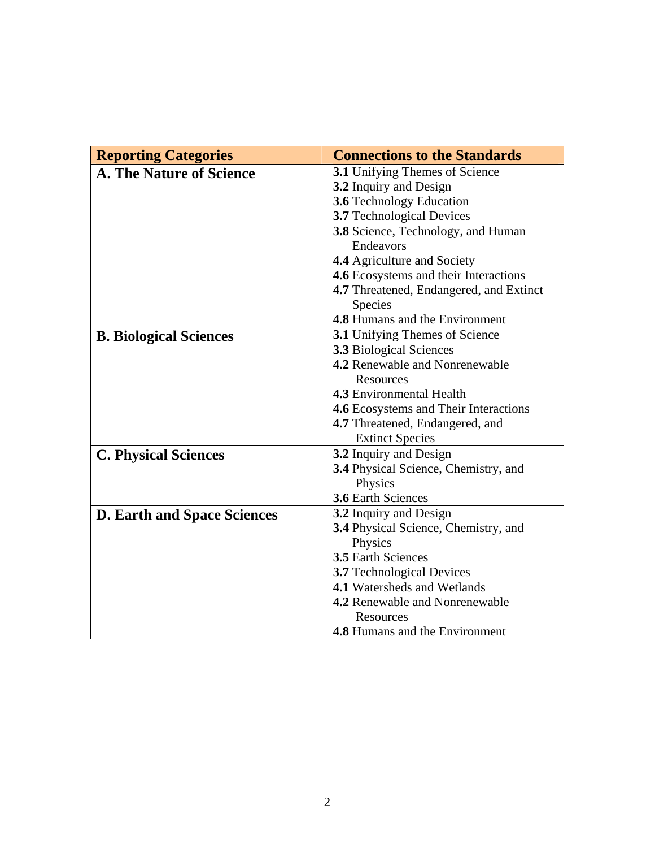| <b>Reporting Categories</b>        | <b>Connections to the Standards</b>         |
|------------------------------------|---------------------------------------------|
| <b>A. The Nature of Science</b>    | <b>3.1</b> Unifying Themes of Science       |
|                                    | 3.2 Inquiry and Design                      |
|                                    | <b>3.6</b> Technology Education             |
|                                    | 3.7 Technological Devices                   |
|                                    | 3.8 Science, Technology, and Human          |
|                                    | Endeavors                                   |
|                                    | 4.4 Agriculture and Society                 |
|                                    | 4.6 Ecosystems and their Interactions       |
|                                    | 4.7 Threatened, Endangered, and Extinct     |
|                                    | Species                                     |
|                                    | <b>4.8 Humans and the Environment</b>       |
| <b>B. Biological Sciences</b>      | <b>3.1</b> Unifying Themes of Science       |
|                                    | <b>3.3</b> Biological Sciences              |
|                                    | <b>4.2</b> Renewable and Nonrenewable       |
|                                    | <b>Resources</b>                            |
|                                    | 4.3 Environmental Health                    |
|                                    | 4.6 Ecosystems and Their Interactions       |
|                                    | 4.7 Threatened, Endangered, and             |
|                                    | <b>Extinct Species</b>                      |
| <b>C. Physical Sciences</b>        | 3.2 Inquiry and Design                      |
|                                    | 3.4 Physical Science, Chemistry, and        |
|                                    | Physics                                     |
|                                    | <b>3.6 Earth Sciences</b>                   |
| <b>D. Earth and Space Sciences</b> | 3.2 Inquiry and Design                      |
|                                    | <b>3.4</b> Physical Science, Chemistry, and |
|                                    | Physics                                     |
|                                    | 3.5 Earth Sciences                          |
|                                    | 3.7 Technological Devices                   |
|                                    | 4.1 Watersheds and Wetlands                 |
|                                    | <b>4.2</b> Renewable and Nonrenewable       |
|                                    | Resources                                   |
|                                    | <b>4.8 Humans and the Environment</b>       |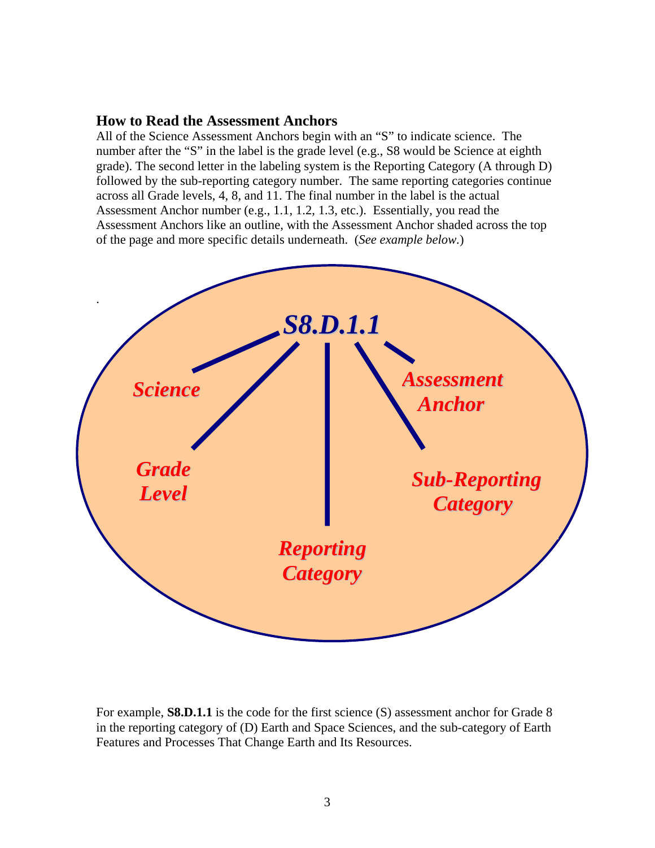## **How to Read the Assessment Anchors**

All of the Science Assessment Anchors begin with an "S" to indicate science. The number after the "S" in the label is the grade level (e.g., S8 would be Science at eighth grade). The second letter in the labeling system is the Reporting Category (A through D) followed by the sub-reporting category number. The same reporting categories continue across all Grade levels, 4, 8, and 11. The final number in the label is the actual Assessment Anchor number (e.g., 1.1, 1.2, 1.3, etc.). Essentially, you read the Assessment Anchors like an outline, with the Assessment Anchor shaded across the top of the page and more specific details underneath. (*See example below.*)



For example, **S8.D.1.1** is the code for the first science (S) assessment anchor for Grade 8 in the reporting category of (D) Earth and Space Sciences, and the sub-category of Earth Features and Processes That Change Earth and Its Resources.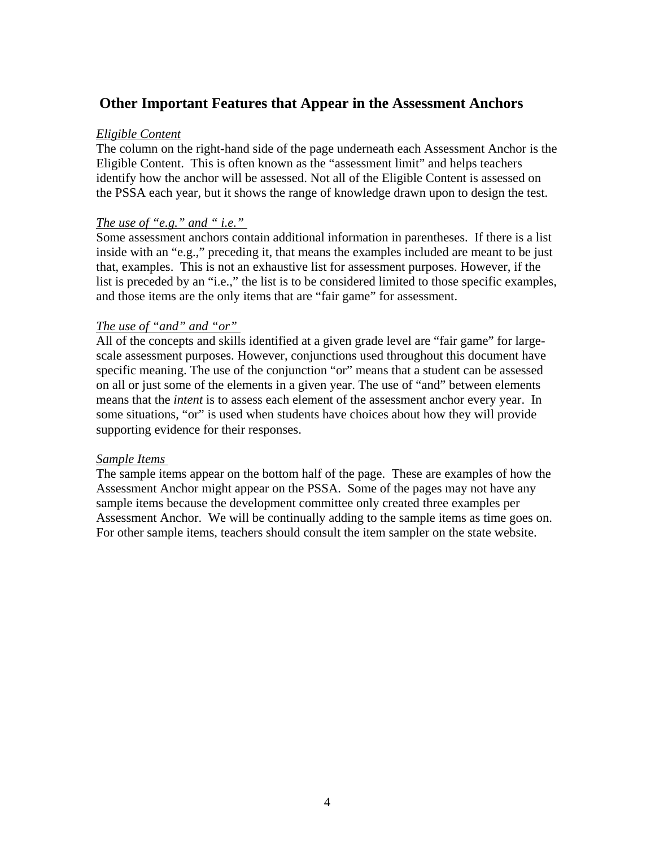## **Other Important Features that Appear in the Assessment Anchors**

#### *Eligible Content*

The column on the right-hand side of the page underneath each Assessment Anchor is the Eligible Content. This is often known as the "assessment limit" and helps teachers identify how the anchor will be assessed. Not all of the Eligible Content is assessed on the PSSA each year, but it shows the range of knowledge drawn upon to design the test.

## *The use of "e.g." and " i.e."*

Some assessment anchors contain additional information in parentheses. If there is a list inside with an "e.g.," preceding it, that means the examples included are meant to be just that, examples. This is not an exhaustive list for assessment purposes. However, if the list is preceded by an "i.e.," the list is to be considered limited to those specific examples, and those items are the only items that are "fair game" for assessment.

#### *The use of "and" and "or"*

All of the concepts and skills identified at a given grade level are "fair game" for largescale assessment purposes. However, conjunctions used throughout this document have specific meaning. The use of the conjunction "or" means that a student can be assessed on all or just some of the elements in a given year. The use of "and" between elements means that the *intent* is to assess each element of the assessment anchor every year. In some situations, "or" is used when students have choices about how they will provide supporting evidence for their responses.

#### *Sample Items*

The sample items appear on the bottom half of the page. These are examples of how the Assessment Anchor might appear on the PSSA. Some of the pages may not have any sample items because the development committee only created three examples per Assessment Anchor. We will be continually adding to the sample items as time goes on. For other sample items, teachers should consult the item sampler on the state website.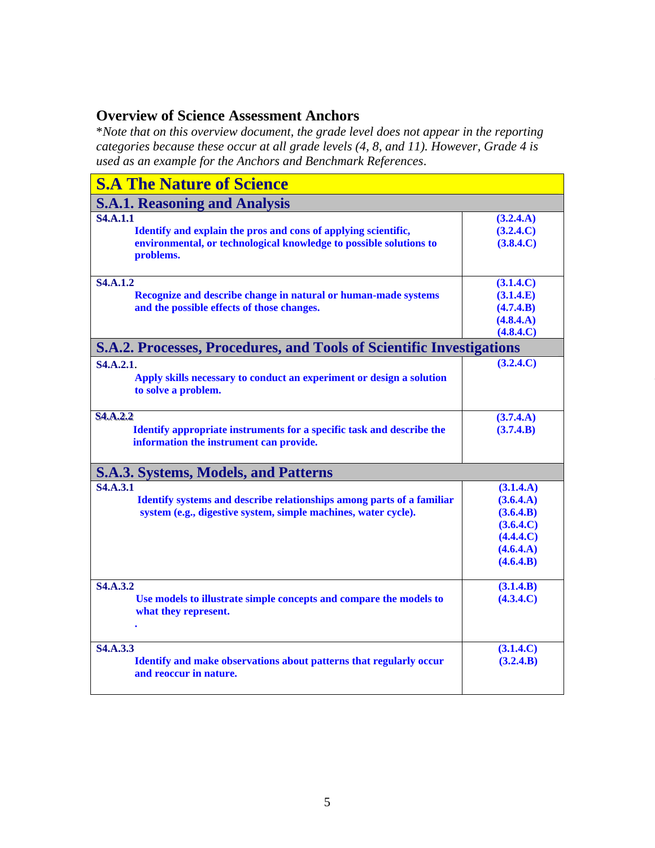## **Overview of Science Assessment Anchors**

\**Note that on this overview document, the grade level does not appear in the reporting categories because these occur at all grade levels (4, 8, and 11). However, Grade 4 is used as an example for the Anchors and Benchmark References*.

| <b>S.A The Nature of Science</b>                                                                                                                                     |                                                                                         |
|----------------------------------------------------------------------------------------------------------------------------------------------------------------------|-----------------------------------------------------------------------------------------|
| <b>S.A.1. Reasoning and Analysis</b>                                                                                                                                 |                                                                                         |
| <b>S4.A.1.1</b><br>Identify and explain the pros and cons of applying scientific,<br>environmental, or technological knowledge to possible solutions to<br>problems. | (3.2.4.A)<br>(3.2.4.C)<br>(3.8.4.C)                                                     |
| <b>S4.A.1.2</b><br>Recognize and describe change in natural or human-made systems<br>and the possible effects of those changes.                                      | (3.1.4.C)<br>(3.1.4.E)<br>(4.7.4.B)<br>(4.8.4.A)<br>(4.8.4.C)                           |
| <b>S.A.2. Processes, Procedures, and Tools of Scientific Investigations</b>                                                                                          |                                                                                         |
| S <sub>4</sub> .A <sub>.</sub> 2. <sub>1</sub> .<br>Apply skills necessary to conduct an experiment or design a solution<br>to solve a problem.                      | (3.2.4.C)                                                                               |
| <b>S4.A.2.2</b><br>Identify appropriate instruments for a specific task and describe the<br>information the instrument can provide.                                  | (3.7.4.A)<br>(3.7.4.B)                                                                  |
| <b>S.A.3. Systems, Models, and Patterns</b>                                                                                                                          |                                                                                         |
| <b>S4.A.3.1</b><br>Identify systems and describe relationships among parts of a familiar<br>system (e.g., digestive system, simple machines, water cycle).           | (3.1.4.A)<br>(3.6.4.A)<br>(3.6.4.B)<br>(3.6.4.C)<br>(4.4.4.C)<br>(4.6.4.A)<br>(4.6.4.B) |
| S <sub>4</sub> .A <sub>.3.2</sub><br>Use models to illustrate simple concepts and compare the models to<br>what they represent.                                      | (3.1.4.B)<br>(4.3.4.C)                                                                  |
| <b>S4.A.3.3</b><br>Identify and make observations about patterns that regularly occur<br>and reoccur in nature.                                                      | (3.1.4.C)<br>(3.2.4.B)                                                                  |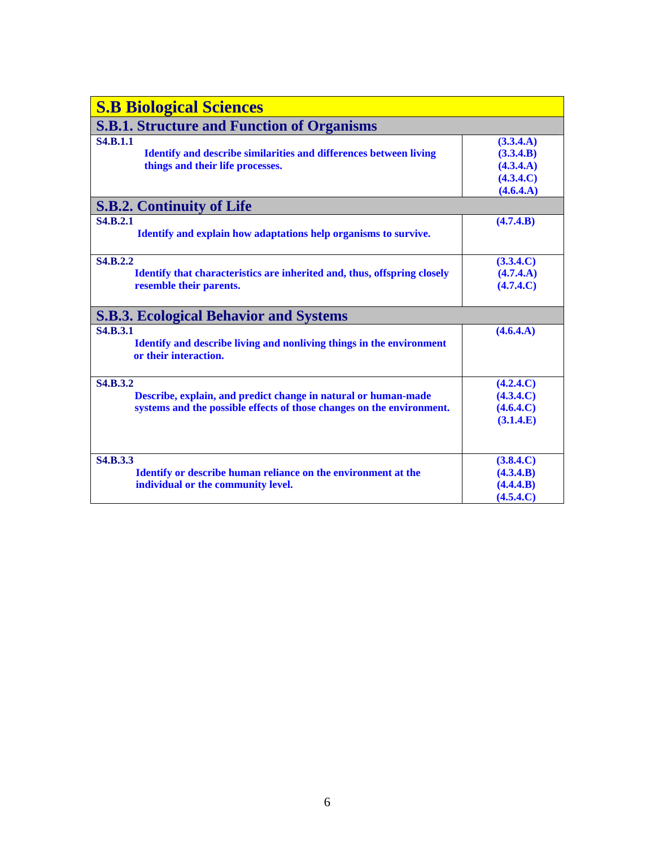| <b>S.B Biological Sciences</b>                                           |           |
|--------------------------------------------------------------------------|-----------|
| <b>S.B.1. Structure and Function of Organisms</b>                        |           |
| <b>S4.B.1.1</b>                                                          | (3.3.4.A) |
| <b>Identify and describe similarities and differences between living</b> | (3.3.4.B) |
| things and their life processes.                                         | (4.3.4.A) |
|                                                                          | (4.3.4.C) |
|                                                                          | (4.6.4.A) |
| <b>S.B.2. Continuity of Life</b>                                         |           |
| <b>S4.B.2.1</b>                                                          | (4.7.4.B) |
| Identify and explain how adaptations help organisms to survive.          |           |
|                                                                          |           |
| <b>S4.B.2.2</b>                                                          | (3.3.4.C) |
| Identify that characteristics are inherited and, thus, offspring closely | (4.7.4.A) |
| resemble their parents.                                                  | (4.7.4.C) |
|                                                                          |           |
| <b>S.B.3. Ecological Behavior and Systems</b>                            |           |
| <b>S4.B.3.1</b>                                                          | (4.6.4.A) |
| Identify and describe living and nonliving things in the environment     |           |
| or their interaction.                                                    |           |
|                                                                          |           |
| <b>S4.B.3.2</b>                                                          | (4.2.4.C) |
| Describe, explain, and predict change in natural or human-made           | (4.3.4.C) |
| systems and the possible effects of those changes on the environment.    | (4.6.4.C) |
|                                                                          | (3.1.4.E) |
|                                                                          |           |
|                                                                          |           |
| <b>S4.B.3.3</b>                                                          | (3.8.4.C) |
| Identify or describe human reliance on the environment at the            | (4.3.4.B) |
| individual or the community level.                                       | (4.4.4.B) |
|                                                                          | (4.5.4.C) |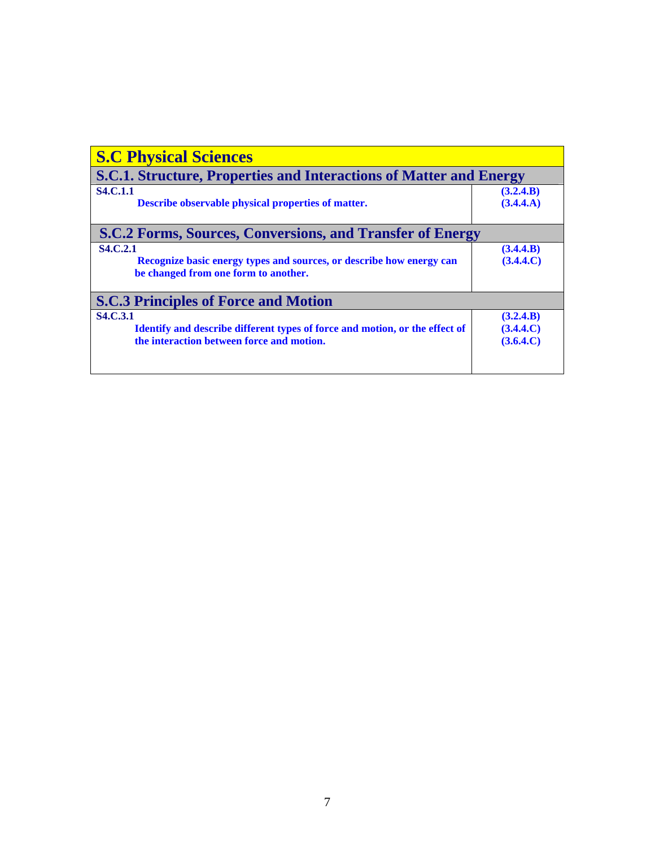| <b>S.C Physical Sciences</b>                                                                                                                       |                                     |  |
|----------------------------------------------------------------------------------------------------------------------------------------------------|-------------------------------------|--|
| <b>S.C.1. Structure, Properties and Interactions of Matter and Energy</b>                                                                          |                                     |  |
| <b>S4.C.1.1</b><br><b>Describe observable physical properties of matter.</b>                                                                       | (3.2.4.B)<br>(3.4.4.A)              |  |
| <b>S.C.2 Forms, Sources, Conversions, and Transfer of Energy</b>                                                                                   |                                     |  |
| <b>S4.C.2.1</b><br>Recognize basic energy types and sources, or describe how energy can<br>be changed from one form to another.                    | (3.4.4.B)<br>(3.4.4.C)              |  |
| <b>S.C.3 Principles of Force and Motion</b>                                                                                                        |                                     |  |
| <b>S4.C.3.1</b><br><b>Identify and describe different types of force and motion, or the effect of</b><br>the interaction between force and motion. | (3.2.4.B)<br>(3.4.4.C)<br>(3.6.4.C) |  |